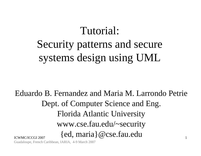# Tutorial: Security patterns and secure systems design using UML

ICWMC/ICCGI 20071Eduardo B. Fernandez and Maria M. Larrondo PetrieDept. of Computer Science and Eng. Florida Atlantic University www.cse.fau.edu/~security {ed, maria}@cse.fau.edu

Guadaloupe, French Caribbean, IARIA, 4-9 March 2007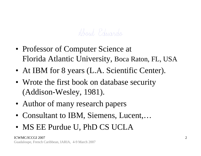#### Hout Eduardo

- Professor of Computer Science at Florida Atlantic University, Boca Raton, FL, USA
- At IBM for 8 years (L.A. Scientific Center).
- Wrote the first book on database security (Addison-Wesley, 1981).
- Author of many research papers
- Consultant to IBM, Siemens, Lucent,...
- MS EE Purdue U, PhD CS UCLA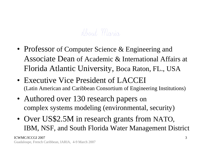#### About Maria

- Professor of Computer Science & Engineering and Associate Dean of Academic & International Affairs at Florida Atlantic University, Boca Raton, FL., USA
- Executive Vice President of LACCEI (Latin American and Caribbean Consortium of Engineering Institutions)
- Authored over 130 research papers on complex systems modeling (environmental, security)
- • Over US\$2.5M in research grants from NATO, IBM, NSF, and South Florida Water Management District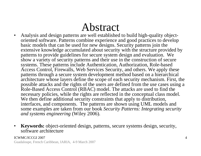## Abstract

- $\bullet$  Analysis and design patterns are well established to build high-quality objectoriented software. Patterns combine experience and good practices to develop basic models that can be used for new designs. Security patterns join the extensive knowledge accumulated about security with the structure provided by patterns to provide guidelines for secure system design and evaluation. We show a variety of security patterns and their use in the construction of secure systems. These patterns include Authentication, Authorization, Role-based Access Control, Firewalls, Web Services Security, and others. We apply these patterns through a secure system development method based on a hierarchical architecture whose layers define the scope of each security mechanism. First, the possible attacks and the rights of the users are defined from the use cases using a Role-Based Access Control (RBAC) model. The attacks are used to find the necessary policies, while the rights are reflected in the conceptual class model. We then define additional security constraints that apply to distribution, interfaces, and components. The patterns are shown using UML models and some examples are taken from our book *Security Patterns: Integrating security and systems engineering* (Wiley 2006).
- $\bullet$  **Keywords:** object-oriented design, patterns, secure systems design, security, software architecture

#### ICWMC/ICCGI 2007

Guadaloupe, French Caribbean, IARIA, 4-9 March 2007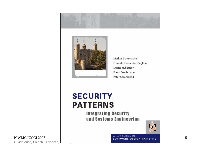



Markus Schumacher Eduardo Fernandez-Buglioni Duane Hybertson Frank Buschmann Peter Sommerlad

#### **SECURITY PATTERNS**

**Integrating Security** and Systems Engineering



WILEY SERIES IN SOFTWARE DESIGN PATTERNS

ICWMC/ICCGI 2007 Guadaloupe, French Caribbean, 1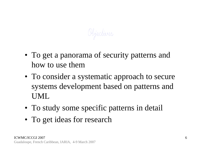Objectives

- To get a panorama of security patterns and how to use them
- To consider a systematic approach to secure systems development based on patterns and UML
- To study some specific patterns in detail
- To get ideas for research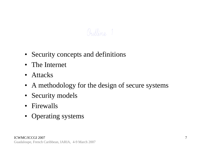#### Qutline, 1

- Security concepts and definitions
- The Internet
- Attacks
- A methodology for the design of secure systems
- Security models
- Firewalls
- Operating systems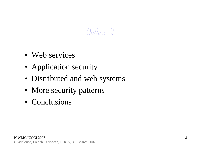#### Qutline, 2

- Web services
- Application security
- Distributed and web systems
- More security patterns
- Conclusions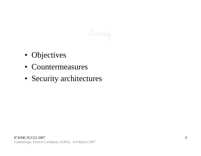Security

- Objectives
- Countermeasures
- Security architectures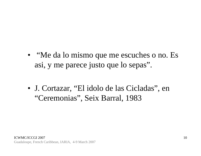- "Me da lo mismo que me escuches o no. Es asi, y me parece justo que lo sepas".
- J. Cortazar, "El idolo de las Cicladas", en "Ceremonias", Seix Barral, 1983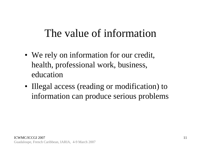## The value of information

- We rely on information for our credit, health, professional work, business, education
- Illegal access (reading or modification) to information can produce serious problems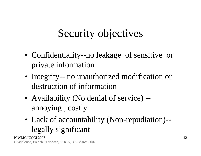# Security objectives

- Confidentiality--no leakage of sensitive or private information
- Integrity-- no unauthorized modification or destruction of information
- Availability (No denial of service) annoying , costly
- Lack of accountability (Non-repudiation)- legally significant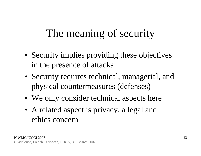# The meaning of security

- Security implies providing these objectives in the presence of attacks
- Security requires technical, managerial, and physical countermeasures (defenses)
- We only consider technical aspects here
- A related aspect is privacy, a legal and ethics concern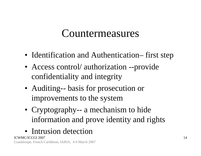#### Countermeasures

- Identification and Authentication– first step
- Access control/ authorization --provide confidentiality and integrity
- Auditing-- basis for prosecution or improvements to the system
- Cryptography-- a mechanism to hide information and prove identity and rights
- Intrusion detection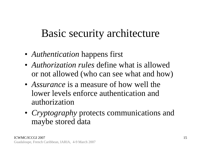## Basic security architecture

- *Authentication* happens first
- *Authorization rules* define what is allowed or not allowed (who can see what and how)
- *Assurance* is a measure of how well the lower levels enforce authentication and authorization
- *Cryptography* protects communications and maybe stored data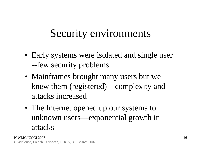# Security environments

- Early systems were isolated and single user --few security problems
- Mainframes brought many users but we knew them (registered)—complexity and attacks increased
- The Internet opened up our systems to unknown users—exponential growth in attacks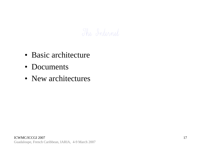#### The Internet

- Basic architecture
- Documents
- New architectures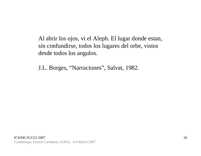Al abrir los ojos, vi el Aleph. El lugar donde estan, sin confundirse, todos los lugares del orbe, vistos desde todos los angulos.

J.L. Borges, "Narraciones", Salvat, 1982.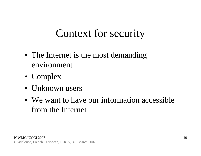## Context for security

- The Internet is the most demanding environment
- Complex
- Unknown users
- We want to have our information accessible from the Internet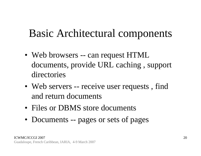## Basic Architectural components

- Web browsers -- can request HTML documents, provide URL caching , support directories
- Web servers -- receive user requests, find and return documents
- Files or DBMS store documents
- Documents -- pages or sets of pages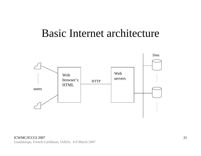#### Basic Internet architecture

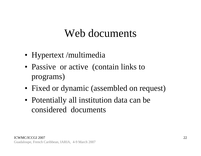#### Web documents

- Hypertext /multimedia
- Passive or active (contain links to programs)
- Fixed or dynamic (assembled on request)
- Potentially all institution data can be considered documents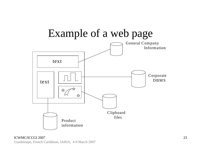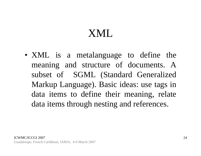## XML

• XML is a metalanguage to define the meaning and structure of documents. A subset of SGML (Standard Generalized Markup Language). Basic ideas: use tags in data items to define their meaning, relate data items through nesting and references.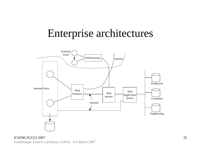#### Enterprise architectures



ICWMC/ICCGI 2007 Guadaloupe, French Caribbean, IARIA, 4-9 March 2007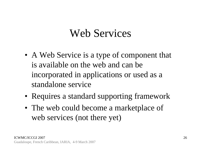#### Web Services

- A Web Service is a type of component that is available on the web and can be incorporated in applications or used as a standalone service
- Requires a standard supporting framework
- The web could become a marketplace of web services (not there yet)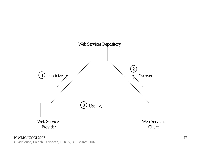

ICWMC/ICCGI 2007 Guadaloupe, French Caribbean, IARIA, 4-9 March 2007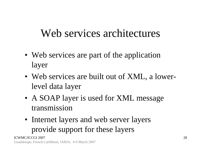## Web services architectures

- Web services are part of the application layer
- Web services are built out of XML, a lowerlevel data layer
- A SOAP layer is used for XML message transmission
- Internet layers and web server layers provide support for these layers

ICWMC/ICCGI 2007Guadaloupe, French Caribbean, IARIA, 4-9 March 2007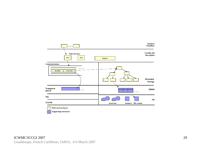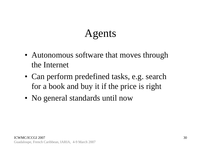# Agents

- Autonomous software that moves through the Internet
- Can perform predefined tasks, e.g. search for a book and buy it if the price is right
- No general standards until now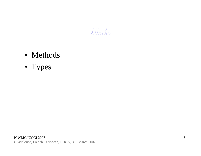

- Methods
- Types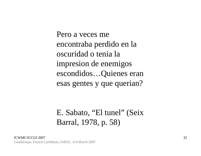Pero a veces me encontraba perdido en la oscuridad o tenia la impresion de enemigos escondidos…Quienes eran esas gentes y que querian?

#### E. Sabato, "El tunel" (Seix Barral, 1978, p. 58)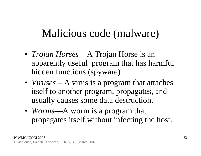## Malicious code (malware)

- *Trojan Horses*—A Trojan Horse is an apparently useful program that has harmful hidden functions (spyware)
- *Viruses* A virus is a program that attaches itself to another program, propagates, and usually causes some data destruction.
- *Worms*—A worm is a program that propagates itself without infecting the host.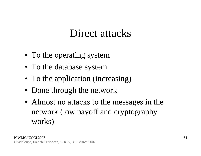#### Direct attacks

- To the operating system
- To the database system
- To the application (increasing)
- Done through the network
- Almost no attacks to the messages in the network (low payoff and cryptography works)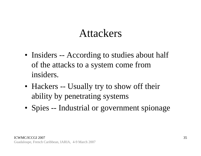#### Attackers

- Insiders -- According to studies about half of the attacks to a system come from insiders.
- Hackers -- Usually try to show off their ability by penetrating systems
- Spies -- Industrial or government spionage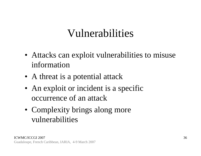## Vulnerabilities

- Attacks can exploit vulnerabilities to misuse information
- A threat is a potential attack
- An exploit or incident is a specific occurrence of an attack
- Complexity brings along more vulnerabilities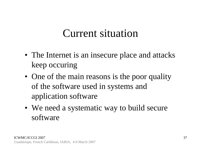#### Current situation

- The Internet is an insecure place and attacks keep occuring
- One of the main reasons is the poor quality of the software used in systems and application software
- We need a systematic way to build secure software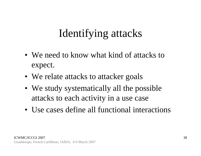# Identifying attacks

- We need to know what kind of attacks to expect.
- We relate attacks to attacker goals
- We study systematically all the possible attacks to each activity in a use case
- Use cases define all functional interactions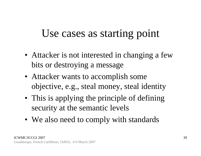### Use cases as starting point

- Attacker is not interested in changing a few bits or destroying a message
- Attacker wants to accomplish some objective, e.g., steal money, steal identity
- This is applying the principle of defining security at the semantic levels
- We also need to comply with standards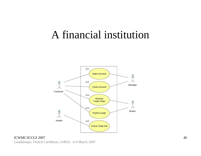#### A financial institution



#### ICWMC/ICCGI 2007 Guadaloupe, French Caribbean, IARIA, 4-9 March 2007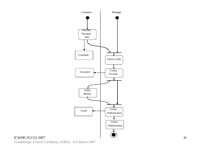

#### ICWMC/ICCGI 2007

Guadaloupe, French Caribbean, IARIA, 4-9 March 2007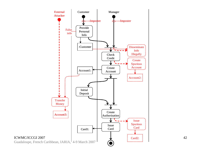

42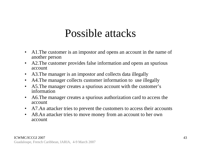#### Possible attacks

- $\bullet$  A1.The customer is an impostor and opens an account in the name of another person
- $\bullet$  A2.The customer provides false information and opens an spurious account
- •A3.The manager is an impostor and collects data illegally
- $\bullet$ A4.The manager collects customer information to use illegally
- $\bullet$  A5.The manager creates a spurious account with the customer's information
- $\bullet$  A6.The manager creates a spurious authorization card to access the account
- $\bullet$ A7.An attacker tries to prevent the customers to access their accounts
- $\bullet$  A8.An attacker tries to move money from an account to her own account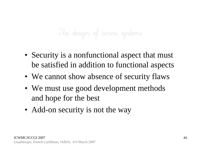# The design of secure systems

- Security is a nonfunctional aspect that must be satisfied in addition to functional aspects
- We cannot show absence of security flaws
- We must use good development methods and hope for the best
- Add-on security is not the way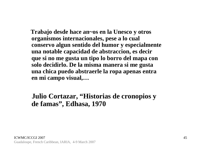**Trabajo desde hace an~os en la Unesco y otros organismos internacionales, pese a lo cual conservo algun sentido del humor y especialmente una notable capacidad de abstraccion, es decir que si no me gusta un tipo lo borro del mapa con solo decidirlo. De la misma manera si me gusta una chica puedo abstraerle la ropa apenas entra en mi campo visual,…**

#### **Julio Cortazar, "Historias de cronopios y de famas", Edhasa, 1970**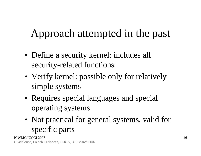# Approach attempted in the past

- Define a security kernel: includes all security-related functions
- Verify kernel: possible only for relatively simple systems
- Requires special languages and special operating systems
- Not practical for general systems, valid for specific parts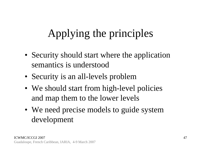# Applying the principles

- Security should start where the application semantics is understood
- Security is an all-levels problem
- We should start from high-level policies and map them to the lower levels
- We need precise models to guide system development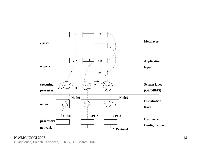

#### ICWMC/ICCGI 2007

Guadaloupe, French Caribbean, IARIA, 4-9 March 2007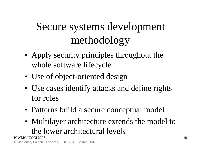# Secure systems development methodology

- Apply security principles throughout the whole software lifecycle
- Use of object-oriented design
- Use cases identify attacks and define rights for roles
- Patterns build a secure conceptual model
- Multilayer architecture extends the model to the lower architectural levels

ICWMC/ICCGI 2007Guadaloupe, French Caribbean, IARIA, 4-9 March 2007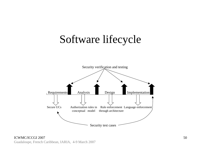### Software lifecycle



ICWMC/ICCGI 2007 Guadaloupe, French Caribbean, IARIA, 4-9 March 2007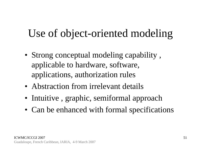# Use of object-oriented modeling

- Strong conceptual modeling capability , applicable to hardware, software, applications, authorization rules
- Abstraction from irrelevant details
- Intuitive , graphic, semiformal approach
- Can be enhanced with formal specifications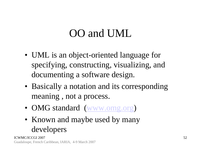# OO and UML

- UML is an object-oriented language for specifying, constructing, visualizing, and documenting a software design.
- Basically a notation and its corresponding meaning , not a process.
- OMG standard (www.omg.org)
- Known and maybe used by many developers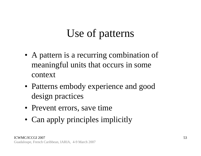# Use of patterns

- A pattern is a recurring combination of meaningful units that occurs in some context
- Patterns embody experience and good design practices
- Prevent errors, save time
- Can apply principles implicitly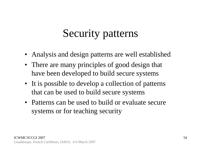# Security patterns

- Analysis and design patterns are well established
- There are many principles of good design that have been developed to build secure systems
- It is possible to develop a collection of patterns that can be used to build secure systems
- Patterns can be used to build or evaluate secure systems or for teaching security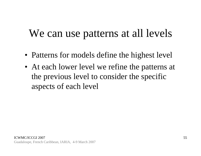### We can use patterns at all levels

- Patterns for models define the highest level
- At each lower level we refine the patterns at the previous level to consider the specific aspects of each level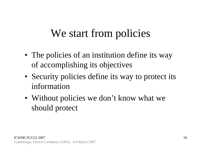### We start from policies

- The policies of an institution define its way of accomplishing its objectives
- Security policies define its way to protect its information
- Without policies we don't know what we should protect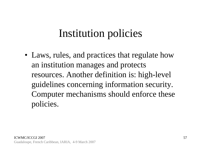### Institution policies

• Laws, rules, and practices that regulate how an institution manages and protects resources. Another definition is: high-level guidelines concerning information security. Computer mechanisms should enforce these policies.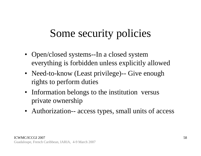# Some security policies

- Open/closed systems--In a closed system everything is forbidden unless explicitly allowed
- Need-to-know (Least privilege)-- Give enough rights to perform duties
- Information belongs to the institution versus private ownership
- Authorization-- access types, small units of access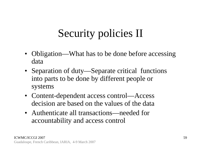# Security policies II

- Obligation—What has to be done before accessing data
- Separation of duty—Separate critical functions into parts to be done by different people or systems
- Content-dependent access control—Access decision are based on the values of the data
- Authenticate all transactions—needed for accountability and access control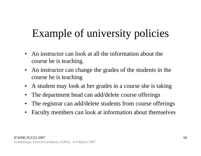# Example of university policies

- $\bullet$  An instructor can look at all the information about the course he is teaching.
- $\bullet$  An instructor can change the grades of the students in the course he is teaching
- $\bullet$ A student may look at her grades in a course she is taking
- •The department head can add/delete course offerings
- $\bullet$ The registrar can add/delete students from course offerings
- $\bullet$ Faculty members can look at information about themselves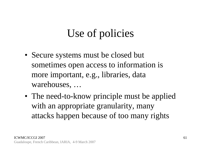# Use of policies

- Secure systems must be closed but sometimes open access to information is more important, e.g., libraries, data warehouses, …
- The need-to-know principle must be applied with an appropriate granularity, many attacks happen because of too many rights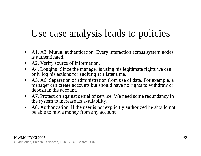#### Use case analysis leads to policies

- A1. A3. Mutual authentication. Every interaction across system nodes is authenticated.
- $\bullet$ A2. Verify source of information.
- $\bullet$  A4. Logging. Since the manager is using his legitimate rights we can only log his actions for auditing at a later time.
- • A5. A6. Separation of administration from use of data. For example, a manager can create accounts but should have no rights to withdraw or deposit in the account.
- $\bullet$  A7. Protection against denial of service. We need some redundancy in the system to increase its availability.
- A8. Authorization. If the user is not explicitly authorized he should not be able to move money from any account.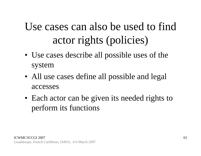# Use cases can also be used to find actor rights (policies)

- Use cases describe all possible uses of the system
- All use cases define all possible and legal accesses
- Each actor can be given its needed rights to perform its functions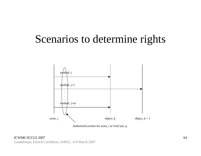#### Scenarios to determine rights



Authorized actions for actor\_i in UseCase\_q

ICWMC/ICCGI 2007 Guadaloupe, French Caribbean, IARIA, 4-9 March 2007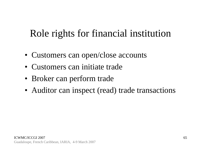#### Role rights for financial institution

- Customers can open/close accounts
- Customers can initiate trade
- Broker can perform trade
- Auditor can inspect (read) trade transactions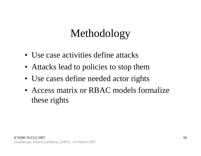# Methodology

- Use case activities define attacks
- Attacks lead to policies to stop them
- Use cases define needed actor rights
- Access matrix or RBAC models formalize these rights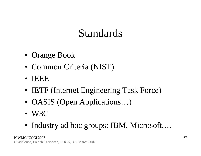# Standards

- Orange Book
- Common Criteria (NIST)
- $\bullet$ IEEE
- IETF (Internet Engineering Task Force)
- OASIS (Open Applications...)
- W3C
- Industry ad hoc groups: IBM, Microsoft,…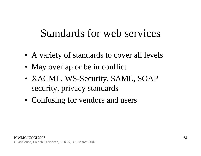#### Standards for web services

- A variety of standards to cover all levels
- May overlap or be in conflict
- XACML, WS-Security, SAML, SOAP security, privacy standards
- Confusing for vendors and users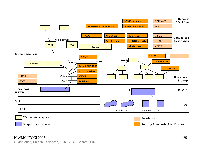

#### ICWMC/ICCGI 2007

Guadaloupe, French Caribbean, IARIA, 4-9 March 2007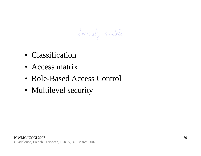Security models

- Classification
- Access matrix
- Role-Based Access Control
- Multilevel security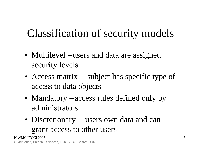# Classification of security models

- Multilevel --users and data are assigned security levels
- Access matrix -- subject has specific type of access to data objects
- Mandatory --access rules defined only by administrators
- Discretionary -- users own data and can grant access to other users

ICWMC/ICCGI 2007Guadaloupe, French Caribbean, IARIA, 4-9 March 2007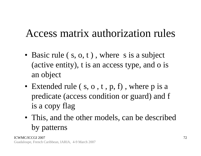# Access matrix authorization rules

- Basic rule (s, o, t), where s is a subject (active entity), t is an access type, and o is an object
- Extended rule (s, o, t, p, f), where p is a predicate (access condition or guard) and f is a copy flag
- This, and the other models, can be described by patterns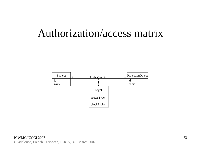#### Authorization/access matrix

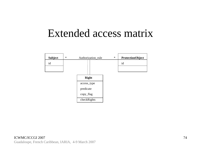#### Extended access matrix

| <b>Subject</b> | $\ast$ | Authorization_rule | $\ast$ | <b>ProtectionObject</b> |
|----------------|--------|--------------------|--------|-------------------------|
| id             |        |                    |        | id                      |
|                |        |                    |        |                         |
|                |        |                    |        |                         |
|                |        | <b>Right</b>       |        |                         |
|                |        | access_type        |        |                         |
|                |        | predicate          |        |                         |
|                |        | copy_flag          |        |                         |
|                |        | checkRights        |        |                         |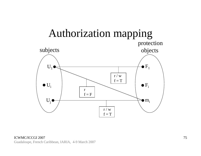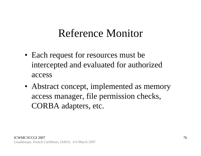#### Reference Monitor

- Each request for resources must be intercepted and evaluated for authorized access
- Abstract concept, implemented as memory access manager, file permission checks, CORBA adapters, etc.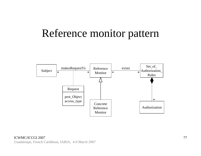#### Reference monitor pattern

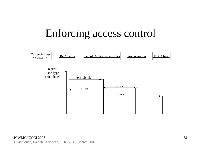# Enforcing access control

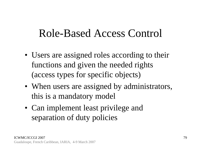#### Role-Based Access Control

- Users are assigned roles according to their functions and given the needed rights (access types for specific objects)
- When users are assigned by administrators, this is a mandatory model
- Can implement least privilege and separation of duty policies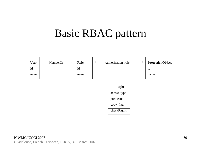# Basic RBAC pattern

| <b>User</b> | $\ast$ | MemberOf | $\ast$ | Role | $\ast$<br>$\ast$<br>Authorization_rule |                                                                      | <b>ProtectionObject</b> |      |
|-------------|--------|----------|--------|------|----------------------------------------|----------------------------------------------------------------------|-------------------------|------|
| id          |        |          |        | id   |                                        |                                                                      |                         | id   |
| name        |        |          |        | name |                                        |                                                                      |                         | name |
|             |        |          |        |      |                                        | <b>Right</b><br>access_type<br>predicate<br>copy_flag<br>checkRights |                         |      |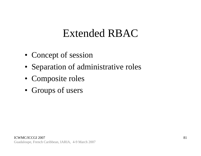### Extended RBAC

- Concept of session
- Separation of administrative roles
- Composite roles
- Groups of users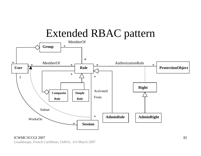

ICWMC/ICCGI 2007Guadaloupe, French Caribbean, IARIA, 4-9 March 2007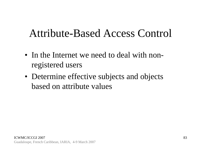#### Attribute-Based Access Control

- In the Internet we need to deal with nonregistered users
- Determine effective subjects and objects based on attribute values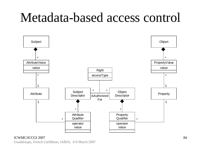# Metadata-based access control



#### ICWMC/ICCGI 2007

Guadaloupe, French Caribbean, IARIA, 4-9 March 2007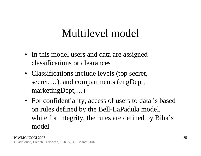### Multilevel model

- In this model users and data are assigned classifications or clearances
- Classifications include levels (top secret, secret,…), and compartments (engDept, marketingDept,…)
- For confidentiality, access of users to data is based on rules defined by the Bell-LaPadula model, while for integrity, the rules are defined by Biba's model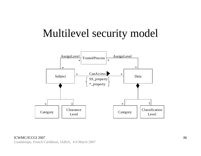### Multilevel security model

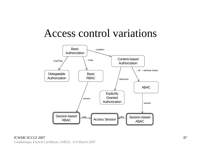#### Access control variations

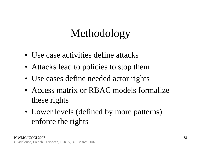# Methodology

- Use case activities define attacks
- Attacks lead to policies to stop them
- Use cases define needed actor rights
- Access matrix or RBAC models formalize these rights
- Lower levels (defined by more patterns) enforce the rights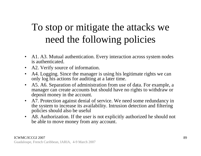#### To stop or mitigate the attacks we need the following policies

- A1. A3. Mutual authentication. Every interaction across system nodes is authenticated.
- A2. Verify source of information.
- $\bullet$  A4. Logging. Since the manager is using his legitimate rights we can only log his actions for auditing at a later time.
- $\bullet$  A5. A6. Separation of administration from use of data. For example, a manager can create accounts but should have no rights to withdraw or deposit money in the account.
- A7. Protection against denial of service. We need some redundancy in the system to increase its availability. Intrusion detection and filtering policies should also be useful
- A8. Authorization. If the user is not explicitly authorized he should not be able to move money from any account.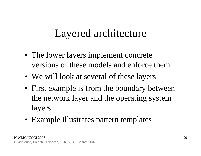#### Layered architecture

- The lower layers implement concrete versions of these models and enforce them
- We will look at several of these layers
- First example is from the boundary between the network layer and the operating system layers
- Example illustrates pattern templates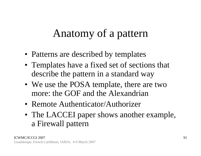## Anatomy of a pattern

- Patterns are described by templates
- Templates have a fixed set of sections that describe the pattern in a standard way
- We use the POSA template, there are two more: the GOF and the Alexandrian
- Remote Authenticator/Authorizer
- The LACCEI paper shows another example, a Firewall pattern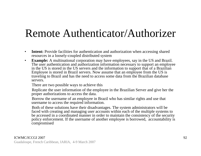### Remote Authenticator/Authorizer

- $\bullet$ **Intent:** Provide facilities for authentication and authorization when accessing shared resources in a loosely-coupled distributed system
- $\bullet$  **Example:** A multinational corporation may have employees, say in the US and Brazil. The user authentication and authorization information necessary to support an employee in the US is stored in the US servers and the information to support that of a Brazilian Employee is stored in Brazil servers. Now assume that an employee from the US is traveling to Brazil and has the need to access some data from the Brazilian database servers.

There are two possible ways to achieve this

Replicate the user information of the employee in the Brazilian Server and give her the proper authorizations to access the data.

Borrow the username of an employee in Brazil who has similar rights and use that username to access the required information.

Both of these solutions have their disadvantages. The system administrators will be faced with creating and managing user accounts within each of the multiple systems to be accessed in a coordinated manner in order to maintain the consistency of the security policy enforcement. If the username of another employee is borrowed, accountability is compromised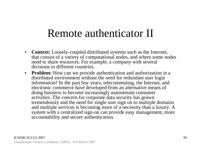#### Remote authenticator II

- $\bullet$  **Context:** Loosely-coupled distributed systems such as the Internet, that consist of a variety of computational nodes, and where some nodes need to share resources. For example, a company with several divisions in different countries.
- **Problem:** How can we provide authentication and authorization in a distributed environment without the need for redundant user login information? In the past few years, telecommuting, the Internet, and electronic commerce have developed from an alternative means of doing business to become increasingly mainstream consumer activities. The concern for corporate data security has grown tremendously and the need for single user sign on to multiple domains and multiple services is becoming more of a necessity than a luxury. A system with a centralized sign-on can provide easy management, more accountability and secure authentication.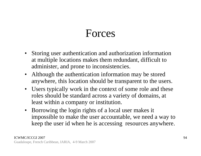### Forces

- Storing user authentication and authorization information at multiple locations makes them redundant, difficult to administer, and prone to inconsistencies.
- Although the authentication information may be stored anywhere, this location should be transparent to the users.
- Users typically work in the context of some role and these roles should be standard across a variety of domains, at least within a company or institution.
- Borrowing the login rights of a local user makes it impossible to make the user accountable, we need a way to keep the user id when he is accessing resources anywhere.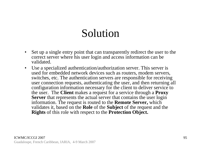# Solution

- $\bullet$  Set up a single entry point that can transparently redirect the user to the correct server where his user login and access information can be validated.
- $\bullet$  Use a specialized authentication/authorization server. This server is used for embedded network devices such as routers, modem servers, switches, etc. The authentication servers are responsible for receiving user connection requests, authenticating the user, and then returning all configuration information necessary for the client to deliver service to the user. The **Client** makes a request for a service through a **Proxy Server** that represents the actual server that contains the user login information. The request is routed to the **Remote Server,** which validates it, based on the **Role** of the **Subject** of the request and the **Rights** of this role with respect to the **Protection Object.**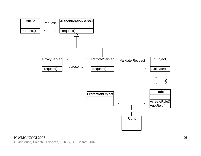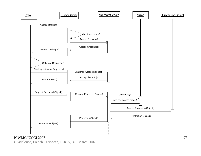

ICWMC/ICCGI 2007Guadaloupe, French Caribbean, IARIA, 4-9 March 2007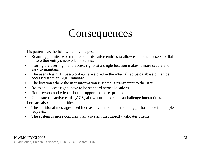# Consequences

This pattern has the following advantages:

- • Roaming permits two or more administrative entities to allow each other's users to dial in to either entity's network for service.
- $\bullet$  Storing the user login and access rights at a single location makes it more secure and easy to maintain.
- $\bullet$  The user's login ID, password etc. are stored in the internal radius database or can be accessed from an SQL Database.
- $\bullet$ The location where the user information is stored is transparent to the user.
- $\bullet$ Roles and access rights have to be standard across locations.
- $\bullet$ Both servers and clients should support the base protocol.
- $\bullet$ Units such as active cards [ACS] allow complex request/challenge interactions.

There are also some liabilities:

- • The additional messages used increase overhead, thus reducing performance for simple requests.
- •The system is more complex than a system that directly validates clients.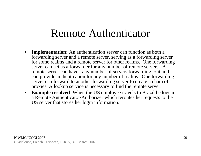#### Remote Authenticator

- $\bullet$  **Implementation:** An authentication server can function as both a forwarding server and a remote server, serving as a forwarding server for some realms and a remote server for other realms. One forwarding server can act as a forwarder for any number of remote servers. A remote server can have any number of servers forwarding to it and can provide authentication for any number of realms. One forwarding server can forward to another forwarding server to create a chain of proxies. A lookup service is necessary to find the remote server.
- $\bullet$  **Example resolved**: When the US employee travels to Brazil he logs in a Remote Authenticator/Authorizer which reroutes her requests to the US server that stores her login information.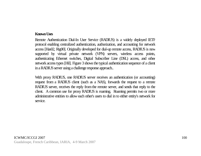#### **Known Uses**

Remote Authentication Dial-In User Service (RADIUS) is a widely deployed IETF protocol enabling centralized authentication, authorization, and accounting for network access [Has02, Rig00]. Originally developed for dial-up remote access, RADIUS is now supported by virtual private network (VPN) servers, wireless access points, authenticating Ethernet switches, Digital Subscriber Line (DSL) access, and other network access types [Hil]. Figure 3 shows the typical authentication sequence of a client in a RADIUS server using a challenge response approach..

With proxy RADIUS, one RADIUS server receives an authentication (or accounting) request from a RADIUS client (such as a NAS), forwards the request to a remote RADIUS server, receives the reply from the remote server, and sends that reply to the client. A common use for proxy RADIUS is roaming. Roaming permits two or more administrative entities to allow each other's users to dial in to either entity's network for service.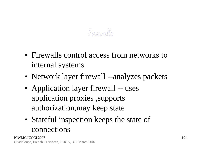#### Firewalls

- Firewalls control access from networks to internal systems
- Network layer firewall --analyzes packets
- Application layer firewall -- uses application proxies ,supports authorization,may keep state
- Stateful inspection keeps the state of connections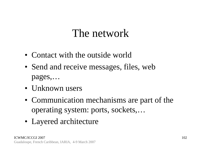### The network

- Contact with the outside world
- Send and receive messages, files, web pages,…
- Unknown users
- Communication mechanisms are part of the operating system: ports, sockets,…
- Layered architecture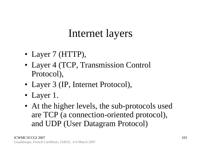## Internet layers

- Layer 7 (HTTP),
- Layer 4 (TCP, Transmission Control Protocol),
- Layer 3 (IP, Internet Protocol),
- Layer 1.
- At the higher levels, the sub-protocols used are TCP (a connection-oriented protocol), and UDP (User Datagram Protocol)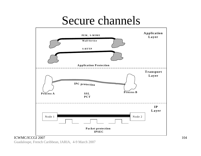# Secure channels



#### ICWMC/ICCGI 2007

Guadaloupe, French Caribbean, IARIA, 4-9 March 2007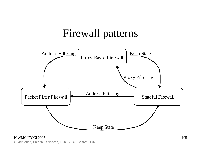#### Firewall patterns



ICWMC/ICCGI 2007 Guadaloupe, French Caribbean, IARIA, 4-9 March 2007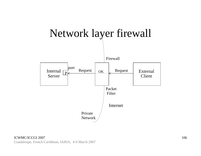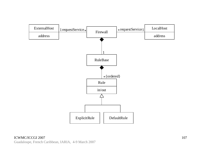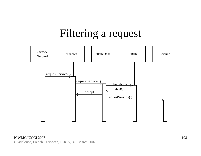## Filtering a request

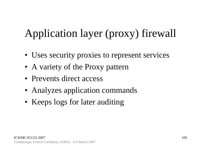# Application layer (proxy) firewall

- Uses security proxies to represent services
- A variety of the Proxy pattern
- Prevents direct access
- Analyzes application commands
- Keeps logs for later auditing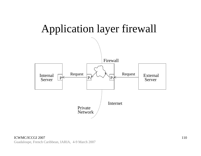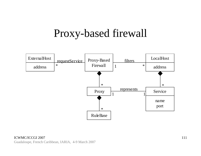#### Proxy-based firewall

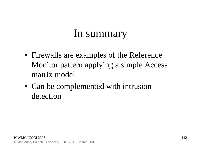### In summary

- Firewalls are examples of the Reference Monitor pattern applying a simple Access matrix model
- Can be complemented with intrusion detection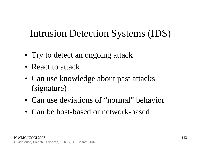#### Intrusion Detection Systems (IDS)

- Try to detect an ongoing attack
- React to attack
- Can use knowledge about past attacks (signature)
- Can use deviations of "normal" behavior
- Can be host-based or network-based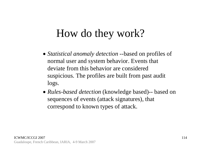### How do they work?

- *Statistical anomaly detection* --based on profiles of normal user and system behavior. Events that deviate from this behavior are considered suspicious. The profiles are built from past audit logs.
- *Rules-based detection* (knowledge based)-- based on sequences of events (attack signatures), that correspond to known types of attack.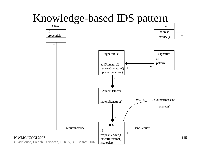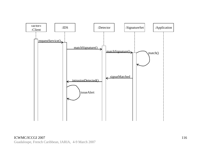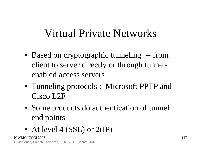#### Virtual Private Networks

- Based on cryptographic tunneling -- from client to server directly or through tunnelenabled access servers
- Tunneling protocols : Microsoft PPTP and Cisco L2F
- Some products do authentication of tunnel end points
- At level 4 (SSL) or 2(IP)

ICWMC/ICCGI 2007Guadaloupe, French Caribbean, IARIA, 4-9 March 2007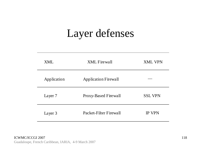#### Layer defenses

| <b>XML</b>  | <b>XML</b> Firewall         | <b>XML VPN</b> |
|-------------|-----------------------------|----------------|
| Application | <b>Application Firewall</b> |                |
| Layer 7     | Proxy-Based Firewall        | <b>SSL VPN</b> |
| Layer 3     | Packet-Filter Firewall      | <b>IP VPN</b>  |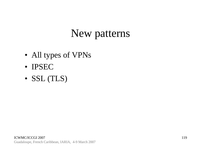# New patterns

- All types of VPNs
- IPSEC
- SSL (TLS)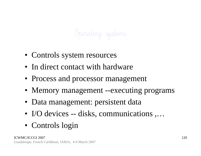Operating systems

- Controls system resources
- In direct contact with hardware
- Process and processor management
- Memory management --executing programs
- Data management: persistent data
- I/O devices -- disks, communications ,...
- Controls login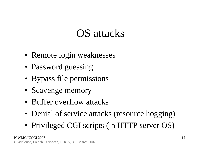## OS attacks

- Remote login weaknesses
- Password guessing
- Bypass file permissions
- Scavenge memory
- Buffer overflow attacks
- Denial of service attacks (resource hogging)
- Privileged CGI scripts (in HTTP server OS)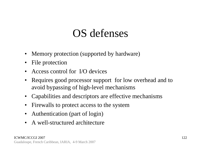### OS defenses

- $\bullet$ Memory protection (supported by hardware)
- $\bullet$ File protection
- Access control for I/O devices
- • Requires good processor support for low overhead and to avoid bypassing of high-level mechanisms
- Capabilities and descriptors are effective mechanisms
- Firewalls to protect access to the system
- Authentication (part of login)
- A well-structured architecture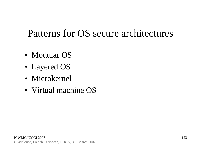#### Patterns for OS secure architectures

- Modular OS
- Layered OS
- Microkernel
- Virtual machine OS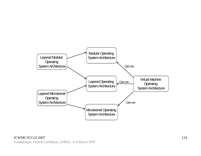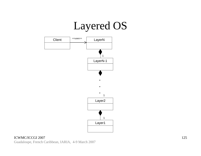# Layered OS



#### ICWMC/ICCGI 2007 Guadaloupe, French Caribbean, IARIA, 4-9 March 2007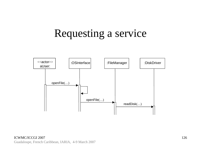# Requesting a service

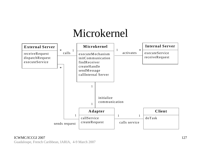# Microkernel



Guadaloupe, French Caribbean, IARIA, 4-9 March 2007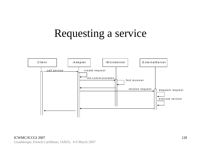# Requesting a service

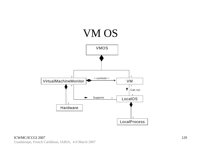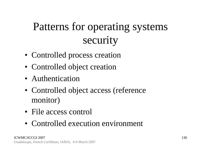# Patterns for operating systems security

- Controlled process creation
- Controlled object creation
- Authentication
- Controlled object access (reference monitor)
- File access control
- Controlled execution environment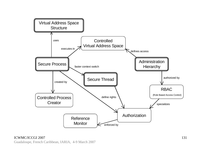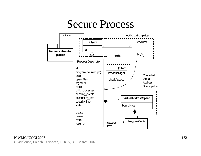#### Secure Process

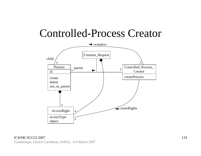#### Controlled-Process Creator

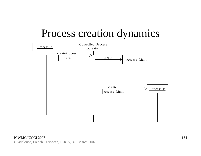#### Process creation dynamics

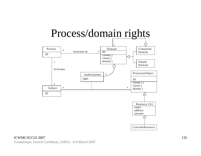

#### ICWMC/ICCGI 2007

Guadaloupe, French Caribbean, IARIA, 4-9 March 2007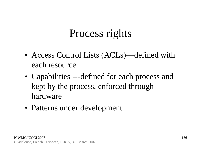# Process rights

- Access Control Lists (ACLs)—defined with each resource
- Capabilities ---defined for each process and kept by the process, enforced through hardware
- Patterns under development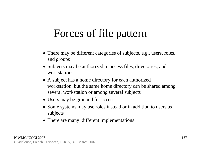## Forces of file pattern

- There may be different categories of subjects, e.g., users, roles, and groups
- Subjects may be authorized to access files, directories, and workstations
- A subject has a home directory for each authorized workstation, but the same home directory can be shared among several workstation or among several subjects
- Users may be grouped for access
- Some systems may use roles instead or in addition to users as subjects
- There are many different implementations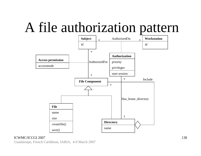# A file authorization pattern



#### ICWMC/ICCGI 2007

Guadaloupe, French Caribbean, IARIA, 4-9 March 2007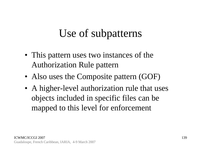# Use of subpatterns

- This pattern uses two instances of the Authorization Rule pattern
- Also uses the Composite pattern (GOF)
- A higher-level authorization rule that uses objects included in specific files can be mapped to this level for enforcement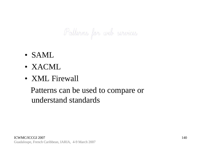Patterns for web services

- SAML
- XACML
- XML Firewall

Patterns can be used to compare or understand standards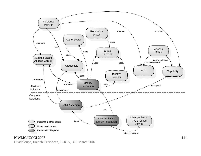

ICWMC/ICCGI 2007Guadaloupe, French Caribbean, IARIA, 4-9 March 2007

141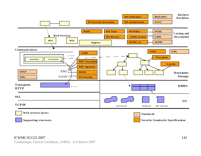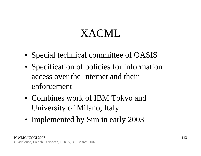# XACML

- Special technical committee of OASIS
- Specification of policies for information access over the Internet and their enforcement
- Combines work of IBM Tokyo and University of Milano, Italy.
- Implemented by Sun in early 2003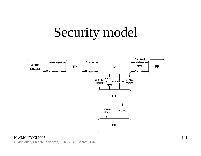# Security model



#### ICWMC/ICCGI 2007 Guadaloupe, French Caribbean, IARIA, 4-9 March 2007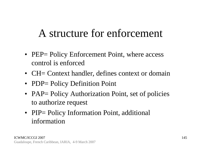# A structure for enforcement

- PEP= Policy Enforcement Point, where access control is enforced
- CH= Context handler, defines context or domain
- PDP= Policy Definition Point
- PAP= Policy Authorization Point, set of policies to authorize request
- PIP= Policy Information Point, additional information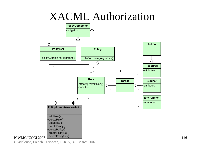#### XACML Authorization



ICWMC/ICCGI 2007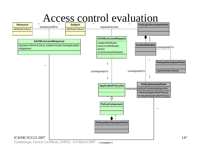

Guadaloupe, French Caribbean, IARIA, 4-9 March 2007 <<creates>>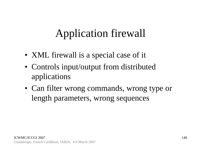# Application firewall

- XML firewall is a special case of it
- Controls input/output from distributed applications
- Can filter wrong commands, wrong type or length parameters, wrong sequences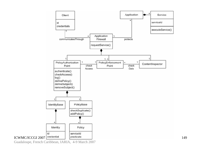

Guadaloupe, French Caribbean, IARIA, 4-9 March 2007

149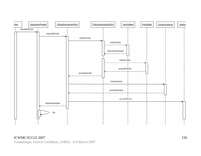

ICWMC/ICCGI 2007 Guadaloupe, French Caribbean, IARIA, 4-9 March 2007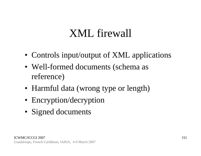# XML firewall

- Controls input/output of XML applications
- Well-formed documents (schema as reference)
- Harmful data (wrong type or length)
- Encryption/decryption
- Signed documents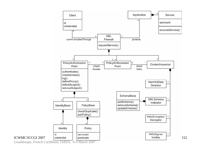

152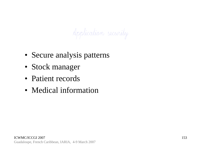Application security

- Secure analysis patterns
- Stock manager
- Patient records
- Medical information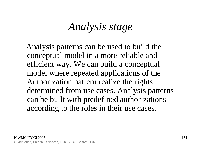#### *Analysis stage*

Analysis patterns can be used to build the conceptual model in a more reliable and efficient way. We can build a conceptual model where repeated applications of the Authorization pattern realize the rights determined from use cases. Analysis patterns can be built with predefined authorizations according to the roles in their use cases.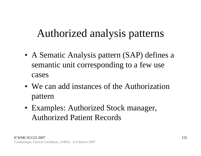# Authorized analysis patterns

- A Sematic Analysis pattern (SAP) defines a semantic unit corresponding to a few use cases
- We can add instances of the Authorization pattern
- Examples: Authorized Stock manager, Authorized Patient Records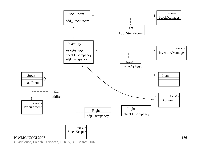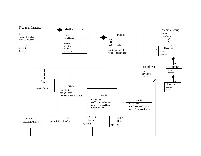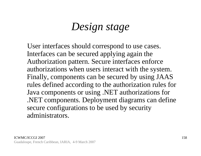### *Design stage*

User interfaces should correspond to use cases. Interfaces can be secured applying again the Authorization pattern. Secure interfaces enforce authorizations when users interact with the system. Finally, components can be secured by using JAAS rules defined according to the authorization rules for Java components or using .NET authorizations for .NET components. Deployment diagrams can define secure configurations to be used by security administrators.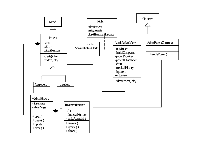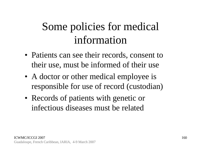# Some policies for medical information

- Patients can see their records, consent to their use, must be informed of their use
- A doctor or other medical employee is responsible for use of record (custodian)
- Records of patients with genetic or infectious diseases must be related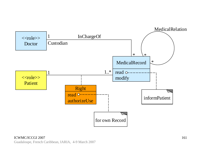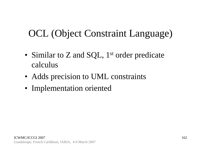### OCL (Object Constraint Language)

- Similar to Z and SQL,  $1<sup>st</sup>$  order predicate calculus
- Adds precision to UML constraints
- Implementation oriented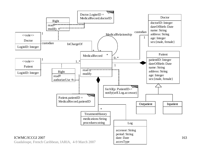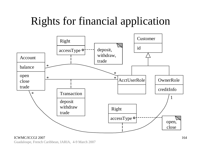# Rights for financial application



#### ICWMC/ICCGI 2007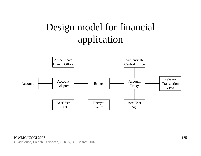### Design model for financial application

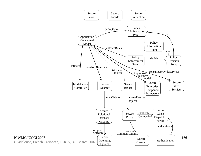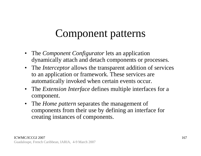# Component patterns

- The *Component Configurator* lets an application dynamically attach and detach components or processes.
- The *Interceptor* allows the transparent addition of services to an application or framework. These services are automatically invoked when certain events occur.
- $\bullet$  The *Extension Interface* defines multiple interfaces for a component.
- $\bullet$  The *Home pattern* separates the management of components from their use by defining an interface for creating instances of components.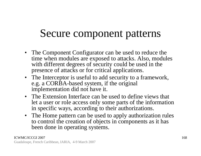# Secure component patterns

- The Component Configurator can be used to reduce the time when modules are exposed to attacks. Also, modules with different degrees of security could be used in the presence of attacks or for critical applications.
- The Interceptor is useful to add security to a framework, e.g. a CORBA-based system, if the original implementation did not have it.
- The Extension Interface can be used to define views that let a user or role access only some parts of the information in specific ways, according to their authorizations.
- The Home pattern can be used to apply authorization rules to control the creation of objects in components as it has been done in operating systems.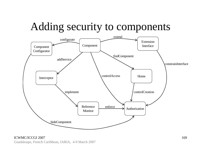# Adding security to components



ICWMC/ICCGI 2007Guadaloupe, French Caribbean, IARIA, 4-9 March 2007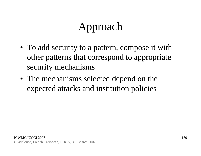# Approach

- To add security to a pattern, compose it with other patterns that correspond to appropriate security mechanisms
- The mechanisms selected depend on the expected attacks and institution policies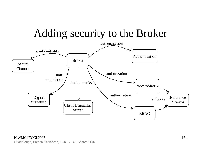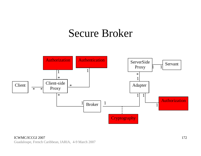#### Secure Broker

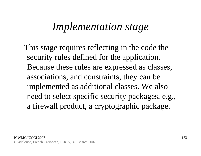#### *Implementation stage*

This stage requires reflecting in the code the security rules defined for the application. Because these rules are expressed as classes, associations, and constraints, they can be implemented as additional classes. We also need to select specific security packages, e.g., a firewall product, a cryptographic package.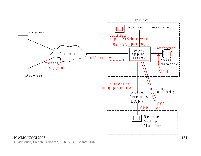

#### ICWMC/ICCGI 2007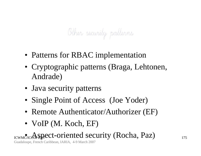# Other security patterns

- Patterns for RBAC implementation
- Cryptographic patterns (Braga, Lehtonen, Andrade)
- Java security patterns
- Single Point of Access (Joe Yoder)
- Remote Authenticator/Authorizer (EF)
- VoIP (M. Koch, EF)

#### ICWMC/ICCGI 2007• Aspect-oriented security (Rocha, Paz)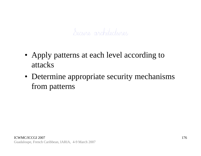

- Apply patterns at each level according to attacks
- Determine appropriate security mechanisms from patterns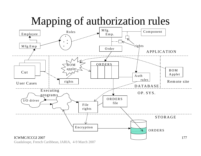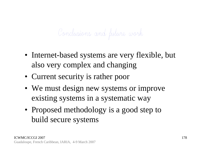# Conclusions and future work

- Internet-based systems are very flexible, but also very complex and changing
- Current security is rather poor
- We must design new systems or improve existing systems in a systematic way
- Proposed methodology is a good step to build secure systems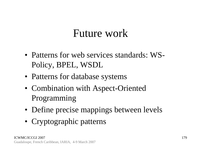#### Future work

- Patterns for web services standards: WS-Policy, BPEL, WSDL
- Patterns for database systems
- Combination with Aspect-Oriented Programming
- Define precise mappings between levels
- Cryptographic patterns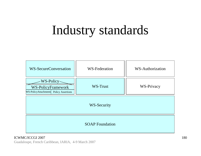# Industry standards

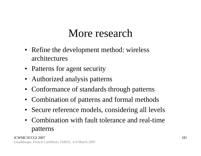## More research

- Refine the development method: wireless architectures
- Patterns for agent security
- Authorized analysis patterns
- Conformance of standards through patterns
- Combination of patterns and formal methods
- Secure reference models, considering all levels
- Combination with fault tolerance and real-time patterns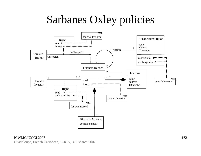# Sarbanes Oxley policies

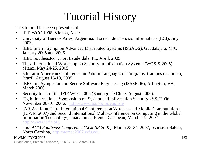# Tutorial History

This tutorial has been presented at:

- $\bullet$ IFIP WCC 1998, Vienna, Austria.
- $\bullet$  University of Buenos Aires, Argentina. Escuela de Ciencias Informaticas (ECI), July 2003.
- $\bullet$  IEEE Intern. Symp. on Advanced Distributed Systems (ISSADS), Guadalajara, MX, January 2005 and 2006
- $\bullet$ IEEE Southeastcon, Fort Lauderdale, FL, April, 2005
- $\bullet$  Third International Workshop on Security in Information Systems (WOSIS-2005), Miami, May 24-25, 2005
- $\bullet$  5th Latin American Conference on Pattern Languages of Programs, Campos do Jordao, Brazil, August 16-19, 2005
- $\bullet$  IEEE Int. Symposium on Secure Software Engineering (ISSSE.06), Arlington, VA, March 2006.
- $\bullet$ Security track of the IFIP WCC 2006 (Santiago de Chile, August 2006).
- $\bullet$  Eigth International Symposium on System and Information Security - SSI´2006, November 08-10, 2006. http://www.ssi.org.br/english/
- $\bullet$  IARIA's Joint Third International Conference on Wireless and Mobile Communitions(ICWM 2007) and Second International Multi-Conference on Computing in the Global Information Technology, Guadaloupe, French Carbbean, March 4-9, 2007 http://www.iaria.org
- $\bullet$  *45th ACM Southeast Conference (ACMSE 2007)*, March 23-24, 2007, Winston-Salem, North Carolina, http://acmse2007.wfu.edu

#### ICWMC/ICCGI 2007

Guadaloupe, French Caribbean, IARIA, 4-9 March 2007